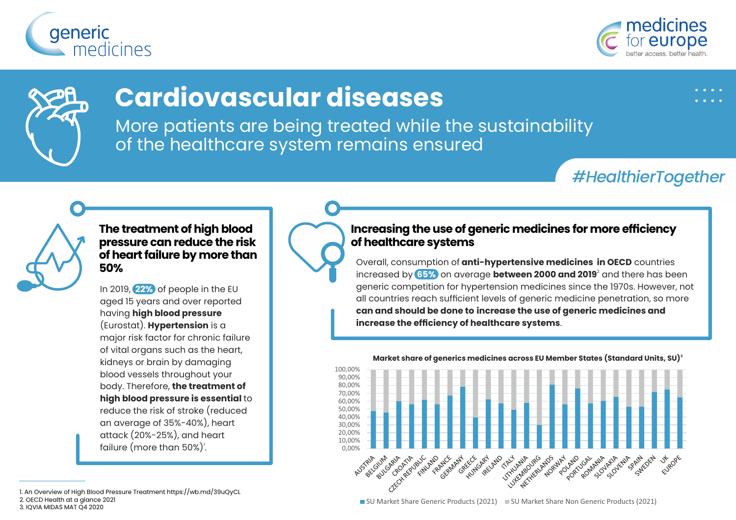





# **Cardiovascular diseases**

More patients are being treated while the sustainability of the healthcare system remains ensured

## *#HealthierTogether*



## **The treatment of high blood pressure can reduce the risk of heart failure by more than 50%**

In 2019, **22%** of people in the EU aged 15 years and over reported having **high blood pressure** (Eurostat). **Hypertension** is a major risk factor for chronic failure of vital organs such as the heart, kidneys or brain by damaging blood vessels throughout your body. Therefore, **the treatment of high blood pressure is essential** to reduce the risk of stroke (reduced an average of 35%-40%), heart attack (20%-25%), and heart failure (more than 50%)<sup>'</sup>.

### **Increasing the use of generic medicines for more efficiency of healthcare systems**

Overall, consumption of **anti-hypertensive medicines in OECD** countries 2 increased by **65%** on average **between 2000 and 2019** and there has been generic competition for hypertension medicines since the 1970s. However, not all countries reach sufficient levels of generic medicine penetration, so more **can and should be done to increase the use of generic medicines and increase the efficiency of healthcare systems**.



**<sup>3</sup> Market share of generics medicines across EU Member States (Standard Units, SU)**

1. An Overview of High Blood Pressure Treatment https://wb.md/39uQyCL 2. OECD Health at a glance 2021 3. IQVIA MIDAS MAT Q4 2020

■ SU Market Share Generic Products (2021) ■ SU Market Share Non Generic Products (2021)